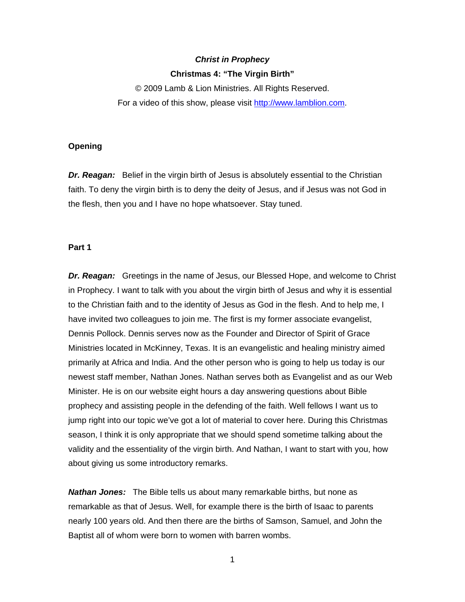#### *Christ in Prophecy*

#### **Christmas 4: "The Virgin Birth"**

© 2009 Lamb & Lion Ministries. All Rights Reserved. For a video of this show, please visit [http://www.lamblion.com.](http://www.lamblion.com/)

# **Opening**

**Dr. Reagan:** Belief in the virgin birth of Jesus is absolutely essential to the Christian faith. To deny the virgin birth is to deny the deity of Jesus, and if Jesus was not God in the flesh, then you and I have no hope whatsoever. Stay tuned.

# **Part 1**

*Dr. Reagan:* Greetings in the name of Jesus, our Blessed Hope, and welcome to Christ in Prophecy. I want to talk with you about the virgin birth of Jesus and why it is essential to the Christian faith and to the identity of Jesus as God in the flesh. And to help me, I have invited two colleagues to join me. The first is my former associate evangelist, Dennis Pollock. Dennis serves now as the Founder and Director of Spirit of Grace Ministries located in McKinney, Texas. It is an evangelistic and healing ministry aimed primarily at Africa and India. And the other person who is going to help us today is our newest staff member, Nathan Jones. Nathan serves both as Evangelist and as our Web Minister. He is on our website eight hours a day answering questions about Bible prophecy and assisting people in the defending of the faith. Well fellows I want us to jump right into our topic we've got a lot of material to cover here. During this Christmas season, I think it is only appropriate that we should spend sometime talking about the validity and the essentiality of the virgin birth. And Nathan, I want to start with you, how about giving us some introductory remarks.

*Nathan Jones:* The Bible tells us about many remarkable births, but none as remarkable as that of Jesus. Well, for example there is the birth of Isaac to parents nearly 100 years old. And then there are the births of Samson, Samuel, and John the Baptist all of whom were born to women with barren wombs.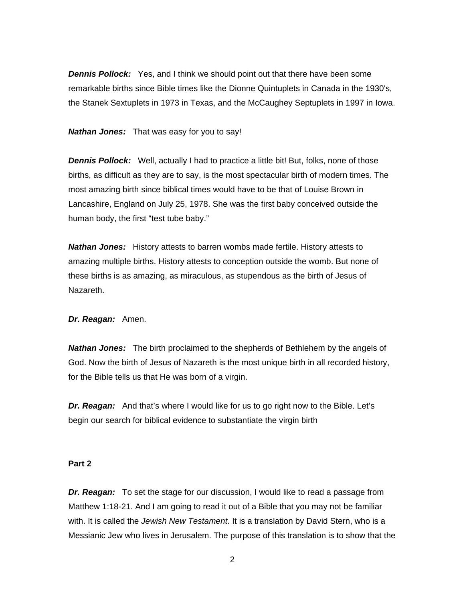*Dennis Pollock:* Yes, and I think we should point out that there have been some remarkable births since Bible times like the Dionne Quintuplets in Canada in the 1930's, the Stanek Sextuplets in 1973 in Texas, and the McCaughey Septuplets in 1997 in Iowa.

*Nathan Jones:* That was easy for you to say!

**Dennis Pollock:** Well, actually I had to practice a little bit! But, folks, none of those births, as difficult as they are to say, is the most spectacular birth of modern times. The most amazing birth since biblical times would have to be that of Louise Brown in Lancashire, England on July 25, 1978. She was the first baby conceived outside the human body, the first "test tube baby."

*Nathan Jones:* History attests to barren wombs made fertile. History attests to amazing multiple births. History attests to conception outside the womb. But none of these births is as amazing, as miraculous, as stupendous as the birth of Jesus of Nazareth.

#### *Dr. Reagan:* Amen.

*Nathan Jones:* The birth proclaimed to the shepherds of Bethlehem by the angels of God. Now the birth of Jesus of Nazareth is the most unique birth in all recorded history, for the Bible tells us that He was born of a virgin.

*Dr. Reagan:* And that's where I would like for us to go right now to the Bible. Let's begin our search for biblical evidence to substantiate the virgin birth

## **Part 2**

*Dr. Reagan:* To set the stage for our discussion, I would like to read a passage from Matthew 1:18-21. And I am going to read it out of a Bible that you may not be familiar with. It is called the *Jewish New Testament*. It is a translation by David Stern, who is a Messianic Jew who lives in Jerusalem. The purpose of this translation is to show that the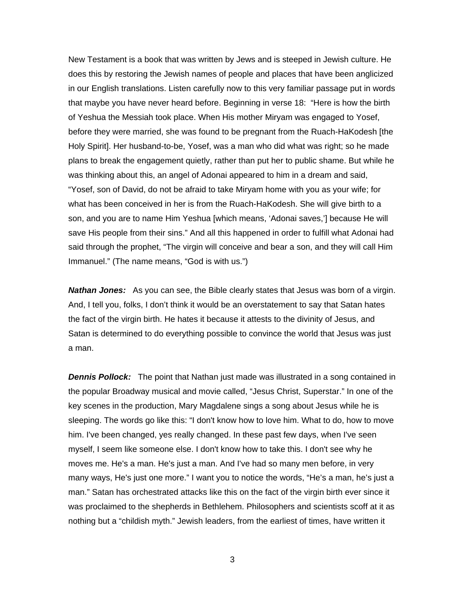New Testament is a book that was written by Jews and is steeped in Jewish culture. He does this by restoring the Jewish names of people and places that have been anglicized in our English translations. Listen carefully now to this very familiar passage put in words that maybe you have never heard before. Beginning in verse 18: "Here is how the birth of Yeshua the Messiah took place. When His mother Miryam was engaged to Yosef, before they were married, she was found to be pregnant from the Ruach-HaKodesh [the Holy Spirit]. Her husband-to-be, Yosef, was a man who did what was right; so he made plans to break the engagement quietly, rather than put her to public shame. But while he was thinking about this, an angel of Adonai appeared to him in a dream and said, "Yosef, son of David, do not be afraid to take Miryam home with you as your wife; for what has been conceived in her is from the Ruach-HaKodesh. She will give birth to a son, and you are to name Him Yeshua [which means, 'Adonai saves,'] because He will save His people from their sins." And all this happened in order to fulfill what Adonai had said through the prophet, "The virgin will conceive and bear a son, and they will call Him Immanuel." (The name means, "God is with us.")

*Nathan Jones:*As you can see, the Bible clearly states that Jesus was born of a virgin. And, I tell you, folks, I don't think it would be an overstatement to say that Satan hates the fact of the virgin birth. He hates it because it attests to the divinity of Jesus, and Satan is determined to do everything possible to convince the world that Jesus was just a man.

*Dennis Pollock:* The point that Nathan just made was illustrated in a song contained in the popular Broadway musical and movie called, "Jesus Christ, Superstar." In one of the key scenes in the production, Mary Magdalene sings a song about Jesus while he is sleeping. The words go like this: "I don't know how to love him. What to do, how to move him. I've been changed, yes really changed. In these past few days, when I've seen myself, I seem like someone else. I don't know how to take this. I don't see why he moves me. He's a man. He's just a man. And I've had so many men before, in very many ways, He's just one more." I want you to notice the words, "He's a man, he's just a man." Satan has orchestrated attacks like this on the fact of the virgin birth ever since it was proclaimed to the shepherds in Bethlehem. Philosophers and scientists scoff at it as nothing but a "childish myth." Jewish leaders, from the earliest of times, have written it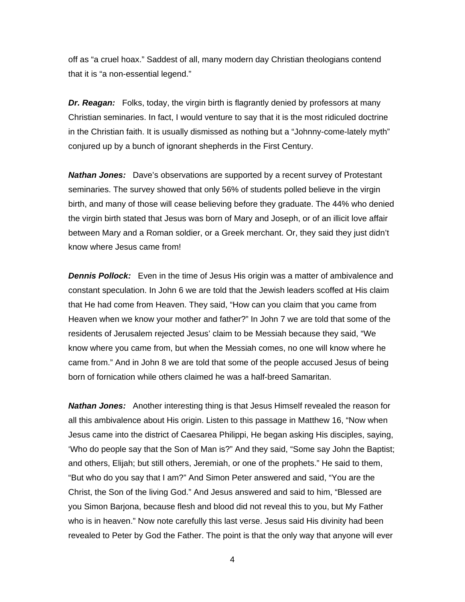off as "a cruel hoax." Saddest of all, many modern day Christian theologians contend that it is "a non-essential legend."

*Dr. Reagan:* Folks, today, the virgin birth is flagrantly denied by professors at many Christian seminaries. In fact, I would venture to say that it is the most ridiculed doctrine in the Christian faith. It is usually dismissed as nothing but a "Johnny-come-lately myth" conjured up by a bunch of ignorant shepherds in the First Century.

*Nathan Jones:* Dave's observations are supported by a recent survey of Protestant seminaries. The survey showed that only 56% of students polled believe in the virgin birth, and many of those will cease believing before they graduate. The 44% who denied the virgin birth stated that Jesus was born of Mary and Joseph, or of an illicit love affair between Mary and a Roman soldier, or a Greek merchant. Or, they said they just didn't know where Jesus came from!

**Dennis Pollock:** Even in the time of Jesus His origin was a matter of ambivalence and constant speculation. In John 6 we are told that the Jewish leaders scoffed at His claim that He had come from Heaven. They said, "How can you claim that you came from Heaven when we know your mother and father?" In John 7 we are told that some of the residents of Jerusalem rejected Jesus' claim to be Messiah because they said, "We know where you came from, but when the Messiah comes, no one will know where he came from." And in John 8 we are told that some of the people accused Jesus of being born of fornication while others claimed he was a half-breed Samaritan.

*Nathan Jones:* Another interesting thing is that Jesus Himself revealed the reason for all this ambivalence about His origin. Listen to this passage in Matthew 16, "Now when Jesus came into the district of Caesarea Philippi, He began asking His disciples, saying, 'Who do people say that the Son of Man is?" And they said, "Some say John the Baptist; and others, Elijah; but still others, Jeremiah, or one of the prophets." He said to them, "But who do you say that I am?" And Simon Peter answered and said, "You are the Christ, the Son of the living God." And Jesus answered and said to him, "Blessed are you Simon Barjona, because flesh and blood did not reveal this to you, but My Father who is in heaven." Now note carefully this last verse. Jesus said His divinity had been revealed to Peter by God the Father. The point is that the only way that anyone will ever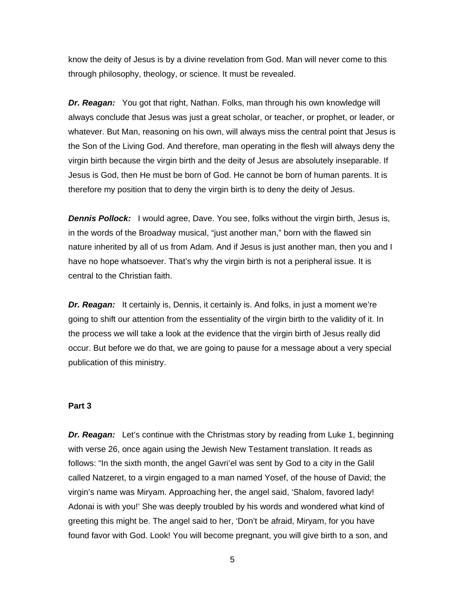know the deity of Jesus is by a divine revelation from God. Man will never come to this through philosophy, theology, or science. It must be revealed.

*Dr. Reagan:* You got that right, Nathan. Folks, man through his own knowledge will always conclude that Jesus was just a great scholar, or teacher, or prophet, or leader, or whatever. But Man, reasoning on his own, will always miss the central point that Jesus is the Son of the Living God. And therefore, man operating in the flesh will always deny the virgin birth because the virgin birth and the deity of Jesus are absolutely inseparable. If Jesus is God, then He must be born of God. He cannot be born of human parents. It is therefore my position that to deny the virgin birth is to deny the deity of Jesus.

**Dennis Pollock:** I would agree, Dave. You see, folks without the virgin birth, Jesus is, in the words of the Broadway musical, "just another man," born with the flawed sin nature inherited by all of us from Adam. And if Jesus is just another man, then you and I have no hope whatsoever. That's why the virgin birth is not a peripheral issue. It is central to the Christian faith.

*Dr. Reagan:* It certainly is, Dennis, it certainly is. And folks, in just a moment we're going to shift our attention from the essentiality of the virgin birth to the validity of it. In the process we will take a look at the evidence that the virgin birth of Jesus really did occur. But before we do that, we are going to pause for a message about a very special publication of this ministry.

# **Part 3**

*Dr. Reagan:* Let's continue with the Christmas story by reading from Luke 1, beginning with verse 26, once again using the Jewish New Testament translation. It reads as follows: "In the sixth month, the angel Gavri'el was sent by God to a city in the Galil called Natzeret, to a virgin engaged to a man named Yosef, of the house of David; the virgin's name was Miryam. Approaching her, the angel said, 'Shalom, favored lady! Adonai is with you!' She was deeply troubled by his words and wondered what kind of greeting this might be. The angel said to her, 'Don't be afraid, Miryam, for you have found favor with God. Look! You will become pregnant, you will give birth to a son, and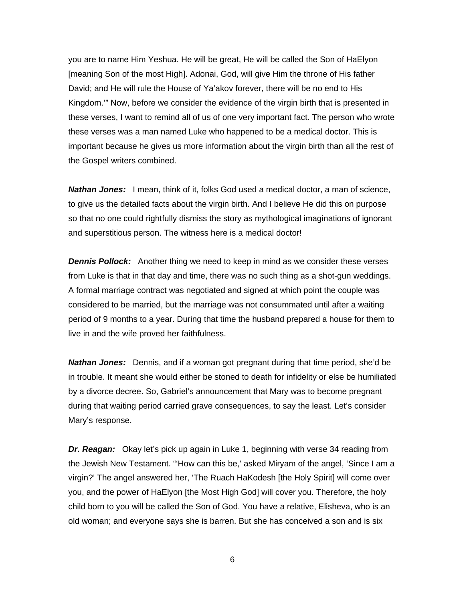you are to name Him Yeshua. He will be great, He will be called the Son of HaElyon [meaning Son of the most High]. Adonai, God, will give Him the throne of His father David; and He will rule the House of Ya'akov forever, there will be no end to His Kingdom.'" Now, before we consider the evidence of the virgin birth that is presented in these verses, I want to remind all of us of one very important fact. The person who wrote these verses was a man named Luke who happened to be a medical doctor. This is important because he gives us more information about the virgin birth than all the rest of the Gospel writers combined.

*Nathan Jones:* I mean, think of it, folks God used a medical doctor, a man of science, to give us the detailed facts about the virgin birth. And I believe He did this on purpose so that no one could rightfully dismiss the story as mythological imaginations of ignorant and superstitious person. The witness here is a medical doctor!

*Dennis Pollock:* Another thing we need to keep in mind as we consider these verses from Luke is that in that day and time, there was no such thing as a shot-gun weddings. A formal marriage contract was negotiated and signed at which point the couple was considered to be married, but the marriage was not consummated until after a waiting period of 9 months to a year. During that time the husband prepared a house for them to live in and the wife proved her faithfulness.

*Nathan Jones:* Dennis, and if a woman got pregnant during that time period, she'd be in trouble. It meant she would either be stoned to death for infidelity or else be humiliated by a divorce decree. So, Gabriel's announcement that Mary was to become pregnant during that waiting period carried grave consequences, to say the least. Let's consider Mary's response.

*Dr. Reagan:* Okay let's pick up again in Luke 1, beginning with verse 34 reading from the Jewish New Testament. "'How can this be,' asked Miryam of the angel, 'Since I am a virgin?' The angel answered her, 'The Ruach HaKodesh [the Holy Spirit] will come over you, and the power of HaElyon [the Most High God] will cover you. Therefore, the holy child born to you will be called the Son of God. You have a relative, Elisheva, who is an old woman; and everyone says she is barren. But she has conceived a son and is six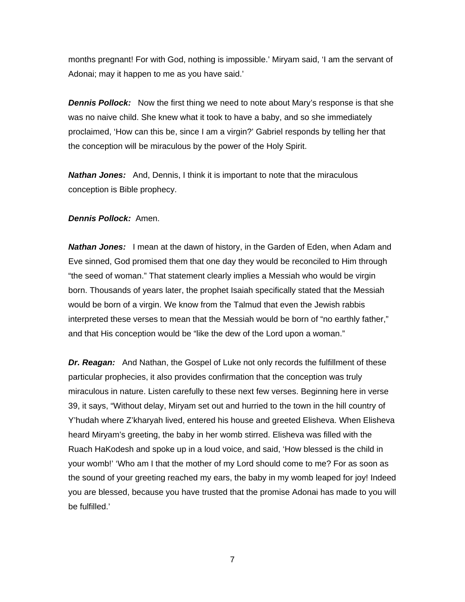months pregnant! For with God, nothing is impossible.' Miryam said, 'I am the servant of Adonai; may it happen to me as you have said.'

**Dennis Pollock:** Now the first thing we need to note about Mary's response is that she was no naive child. She knew what it took to have a baby, and so she immediately proclaimed, 'How can this be, since I am a virgin?' Gabriel responds by telling her that the conception will be miraculous by the power of the Holy Spirit.

*Nathan Jones:* And, Dennis, I think it is important to note that the miraculous conception is Bible prophecy.

## *Dennis Pollock:* Amen.

*Nathan Jones:* I mean at the dawn of history, in the Garden of Eden, when Adam and Eve sinned, God promised them that one day they would be reconciled to Him through "the seed of woman." That statement clearly implies a Messiah who would be virgin born. Thousands of years later, the prophet Isaiah specifically stated that the Messiah would be born of a virgin. We know from the Talmud that even the Jewish rabbis interpreted these verses to mean that the Messiah would be born of "no earthly father," and that His conception would be "like the dew of the Lord upon a woman."

*Dr. Reagan:* And Nathan, the Gospel of Luke not only records the fulfillment of these particular prophecies, it also provides confirmation that the conception was truly miraculous in nature. Listen carefully to these next few verses. Beginning here in verse 39, it says, "Without delay, Miryam set out and hurried to the town in the hill country of Y'hudah where Z'kharyah lived, entered his house and greeted Elisheva. When Elisheva heard Miryam's greeting, the baby in her womb stirred. Elisheva was filled with the Ruach HaKodesh and spoke up in a loud voice, and said, 'How blessed is the child in your womb!' 'Who am I that the mother of my Lord should come to me? For as soon as the sound of your greeting reached my ears, the baby in my womb leaped for joy! Indeed you are blessed, because you have trusted that the promise Adonai has made to you will be fulfilled.'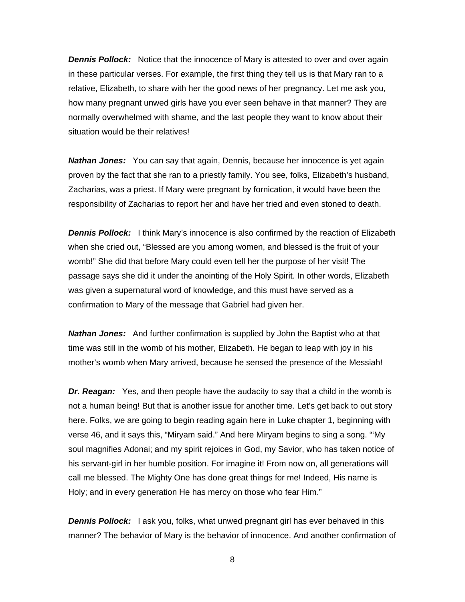**Dennis Pollock:** Notice that the innocence of Mary is attested to over and over again in these particular verses. For example, the first thing they tell us is that Mary ran to a relative, Elizabeth, to share with her the good news of her pregnancy. Let me ask you, how many pregnant unwed girls have you ever seen behave in that manner? They are normally overwhelmed with shame, and the last people they want to know about their situation would be their relatives!

*Nathan Jones:* You can say that again, Dennis, because her innocence is yet again proven by the fact that she ran to a priestly family. You see, folks, Elizabeth's husband, Zacharias, was a priest. If Mary were pregnant by fornication, it would have been the responsibility of Zacharias to report her and have her tried and even stoned to death.

**Dennis Pollock:** I think Mary's innocence is also confirmed by the reaction of Elizabeth when she cried out, "Blessed are you among women, and blessed is the fruit of your womb!" She did that before Mary could even tell her the purpose of her visit! The passage says she did it under the anointing of the Holy Spirit. In other words, Elizabeth was given a supernatural word of knowledge, and this must have served as a confirmation to Mary of the message that Gabriel had given her.

*Nathan Jones:* And further confirmation is supplied by John the Baptist who at that time was still in the womb of his mother, Elizabeth. He began to leap with joy in his mother's womb when Mary arrived, because he sensed the presence of the Messiah!

*Dr. Reagan:* Yes, and then people have the audacity to say that a child in the womb is not a human being! But that is another issue for another time. Let's get back to out story here. Folks, we are going to begin reading again here in Luke chapter 1, beginning with verse 46, and it says this, "Miryam said." And here Miryam begins to sing a song. "'My soul magnifies Adonai; and my spirit rejoices in God, my Savior, who has taken notice of his servant-girl in her humble position. For imagine it! From now on, all generations will call me blessed. The Mighty One has done great things for me! Indeed, His name is Holy; and in every generation He has mercy on those who fear Him."

**Dennis Pollock:** I ask you, folks, what unwed pregnant girl has ever behaved in this manner? The behavior of Mary is the behavior of innocence. And another confirmation of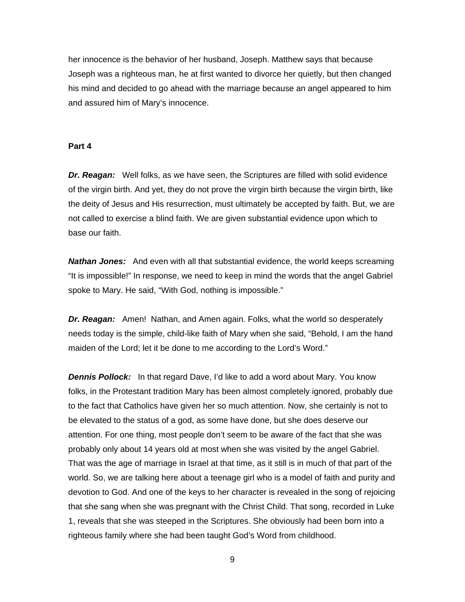her innocence is the behavior of her husband, Joseph. Matthew says that because Joseph was a righteous man, he at first wanted to divorce her quietly, but then changed his mind and decided to go ahead with the marriage because an angel appeared to him and assured him of Mary's innocence.

# **Part 4**

*Dr. Reagan:* Well folks, as we have seen, the Scriptures are filled with solid evidence of the virgin birth. And yet, they do not prove the virgin birth because the virgin birth, like the deity of Jesus and His resurrection, must ultimately be accepted by faith. But, we are not called to exercise a blind faith. We are given substantial evidence upon which to base our faith.

*Nathan Jones:* And even with all that substantial evidence, the world keeps screaming "It is impossible!" In response, we need to keep in mind the words that the angel Gabriel spoke to Mary. He said, "With God, nothing is impossible."

*Dr. Reagan:* Amen! Nathan, and Amen again. Folks, what the world so desperately needs today is the simple, child-like faith of Mary when she said, "Behold, I am the hand maiden of the Lord; let it be done to me according to the Lord's Word."

*Dennis Pollock:*In that regard Dave, I'd like to add a word about Mary. You know folks, in the Protestant tradition Mary has been almost completely ignored, probably due to the fact that Catholics have given her so much attention. Now, she certainly is not to be elevated to the status of a god, as some have done, but she does deserve our attention. For one thing, most people don't seem to be aware of the fact that she was probably only about 14 years old at most when she was visited by the angel Gabriel. That was the age of marriage in Israel at that time, as it still is in much of that part of the world. So, we are talking here about a teenage girl who is a model of faith and purity and devotion to God. And one of the keys to her character is revealed in the song of rejoicing that she sang when she was pregnant with the Christ Child. That song, recorded in Luke 1, reveals that she was steeped in the Scriptures. She obviously had been born into a righteous family where she had been taught God's Word from childhood.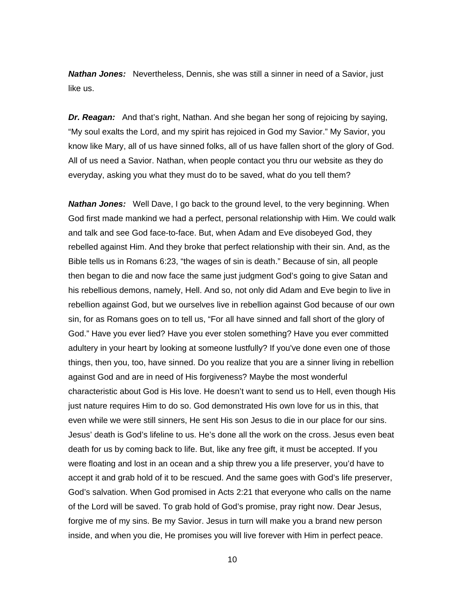*Nathan Jones:* Nevertheless, Dennis, she was still a sinner in need of a Savior, just like us.

*Dr. Reagan:* And that's right, Nathan. And she began her song of rejoicing by saying, "My soul exalts the Lord, and my spirit has rejoiced in God my Savior." My Savior, you know like Mary, all of us have sinned folks, all of us have fallen short of the glory of God. All of us need a Savior. Nathan, when people contact you thru our website as they do everyday, asking you what they must do to be saved, what do you tell them?

*Nathan Jones:* Well Dave, I go back to the ground level, to the very beginning. When God first made mankind we had a perfect, personal relationship with Him. We could walk and talk and see God face-to-face. But, when Adam and Eve disobeyed God, they rebelled against Him. And they broke that perfect relationship with their sin. And, as the Bible tells us in Romans 6:23, "the wages of sin is death." Because of sin, all people then began to die and now face the same just judgment God's going to give Satan and his rebellious demons, namely, Hell. And so, not only did Adam and Eve begin to live in rebellion against God, but we ourselves live in rebellion against God because of our own sin, for as Romans goes on to tell us, "For all have sinned and fall short of the glory of God." Have you ever lied? Have you ever stolen something? Have you ever committed adultery in your heart by looking at someone lustfully? If you've done even one of those things, then you, too, have sinned. Do you realize that you are a sinner living in rebellion against God and are in need of His forgiveness? Maybe the most wonderful characteristic about God is His love. He doesn't want to send us to Hell, even though His just nature requires Him to do so. God demonstrated His own love for us in this, that even while we were still sinners, He sent His son Jesus to die in our place for our sins. Jesus' death is God's lifeline to us. He's done all the work on the cross. Jesus even beat death for us by coming back to life. But, like any free gift, it must be accepted. If you were floating and lost in an ocean and a ship threw you a life preserver, you'd have to accept it and grab hold of it to be rescued. And the same goes with God's life preserver, God's salvation. When God promised in Acts 2:21 that everyone who calls on the name of the Lord will be saved. To grab hold of God's promise, pray right now. Dear Jesus, forgive me of my sins. Be my Savior. Jesus in turn will make you a brand new person inside, and when you die, He promises you will live forever with Him in perfect peace.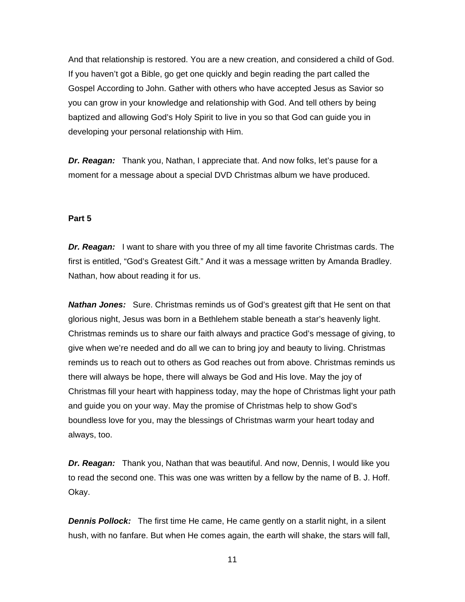And that relationship is restored. You are a new creation, and considered a child of God. If you haven't got a Bible, go get one quickly and begin reading the part called the Gospel According to John. Gather with others who have accepted Jesus as Savior so you can grow in your knowledge and relationship with God. And tell others by being baptized and allowing God's Holy Spirit to live in you so that God can guide you in developing your personal relationship with Him.

*Dr. Reagan:* Thank you, Nathan, I appreciate that. And now folks, let's pause for a moment for a message about a special DVD Christmas album we have produced.

## **Part 5**

*Dr. Reagan:* I want to share with you three of my all time favorite Christmas cards. The first is entitled, "God's Greatest Gift." And it was a message written by Amanda Bradley. Nathan, how about reading it for us.

*Nathan Jones:* Sure. Christmas reminds us of God's greatest gift that He sent on that glorious night, Jesus was born in a Bethlehem stable beneath a star's heavenly light. Christmas reminds us to share our faith always and practice God's message of giving, to give when we're needed and do all we can to bring joy and beauty to living. Christmas reminds us to reach out to others as God reaches out from above. Christmas reminds us there will always be hope, there will always be God and His love. May the joy of Christmas fill your heart with happiness today, may the hope of Christmas light your path and guide you on your way. May the promise of Christmas help to show God's boundless love for you, may the blessings of Christmas warm your heart today and always, too.

*Dr. Reagan:* Thank you, Nathan that was beautiful. And now, Dennis, I would like you to read the second one. This was one was written by a fellow by the name of B. J. Hoff. Okay.

**Dennis Pollock:** The first time He came, He came gently on a starlit night, in a silent hush, with no fanfare. But when He comes again, the earth will shake, the stars will fall,